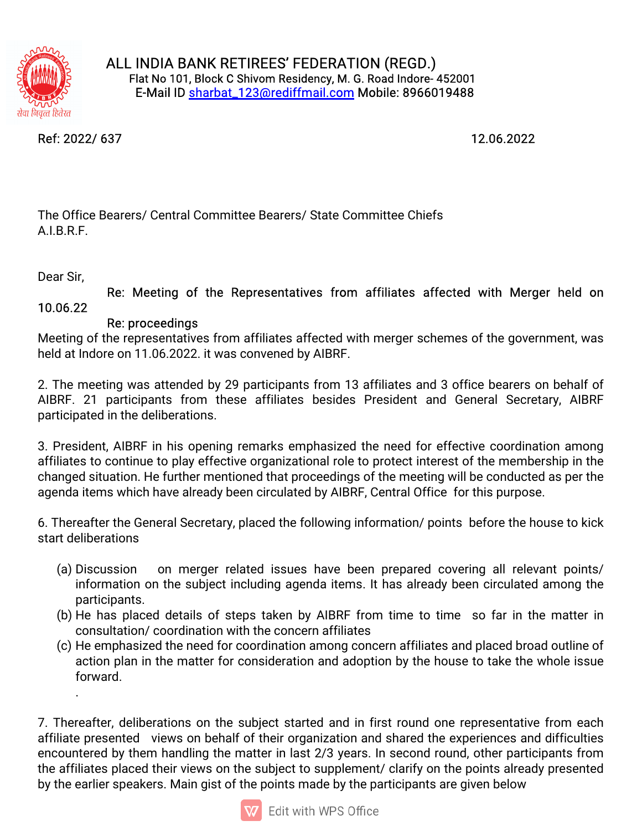

Ref:2022/637 12.06.2022

The Office Bearers/ Central Committee Bearers/ State Committee Chiefs A.I.B.R.F.

Dear Sir,

Re: Meeting of the Representatives from affiliates affected with Merger held on 10.06.22

## Re: proceedings

Meeting of the representatives from affiliates affected with merger schemes of the government, was held at Indore on 11.06.2022. it was convened by AIBRF.

2. The meeting was attended by 29 participants from 13 affiliates and 3 office bearers on behalf of AIBRF. 21 participants from these affiliates besides President and General Secretary, AIBRF participated in the deliberations.

3. President, AIBRF in his opening remarks emphasized the need for effective coordination among affiliates to continue to play effective organizational role to protect interest of the membership in the changed situation. He further mentioned that proceedings of the meeting will be conducted as per the agenda items which have already been circulated by AIBRF, Central Office for this purpose.

6. Thereafter the General Secretary, placed the following information/ points before the house to kick start deliberations

- (a) Discussion on merger related issues have been prepared covering all relevant points/ information on the subject including agenda items. It has already been circulated among the participants.
- (b) He has placed details of steps taken by AIBRF from time to time so far in the matter in consultation/coordination with the concern affiliates
- (c) He emphasized the need for coordination among concern affiliates and placed broad outline of action plan in the matter for consideration and adoption by the house to take the whole issue forward. .

7. Thereafter, deliberations on the subject started and in first round one representative from each affiliate presented views on behalf of their organization and shared the experiences and difficulties encountered by them handling the matter in last 2/3 years. In second round, other participants from the affiliates placed their views on the subject to supplement/ clarify on the points already presented by the earlier speakers. Main gist of the points made by the participants are given below

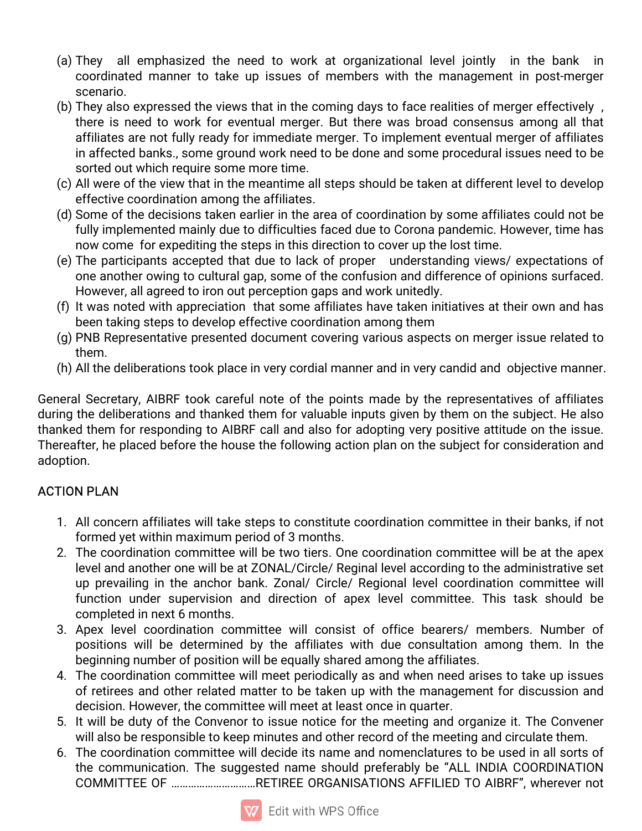- (a) They all emphasized the need to work at organizational level jointly in the bank in coordinated manner to take up issues of members with the management in post-merger scenario.
- (b) They also expressed the views that in the coming days to face realities of merger effectively, there is need to work for eventual merger. But there was broad consensus among all that affiliates are not fully ready for immediate merger. To implement eventual merger of affiliates in affected banks., some ground work need to be done and some procedural issues need to be sorted out which require some more time.
- (c) All were of the view that in the meantime all steps should be taken at different level to develop effective coordination among the affiliates.
- (d) Some of the decisions taken earlier in the area of coordination by some affiliates could not be fully implemented mainly due to difficulties faced due to Corona pandemic. However, time has now come for expediting the steps in this direction to cover up the lost time.
- (e) The participants accepted that due to lack of proper understanding views/expectations of one another owing to cultural gap, some of the confusion and difference of opinions surfaced. However, all agreed to iron out perception gaps and work unitedly.
- (f) It was noted with appreciation that some affiliates have taken initiatives at their own and has been taking steps to develop effective coordination among them
- (g) PNB Representative presented document covering various aspects on merger issue related to them.
- (h) All the deliberations took place in very cordial manner and in very candid and objective manner.

General Secretary, AIBRF took careful note of the points made by the representatives of affiliates during the deliberations and thanked them for valuable inputs given by them on the subject. He also thanked them for responding to AIBRF call and also for adopting very positive attitude on the issue. Thereafter, he placed before the house the following action plan on the subject for consideration and adoption.

## **ACTION PLAN**

- 1. All concern affiliates will take steps to constitute coordination committee in their banks, if not formed yet within maximum period of 3 months.
- 2. The coordination committee will be two tiers. One coordination committee will be at the apex level and another one will be at ZONAL/Circle/ Reginal level according to the administrative set up prevailing in the anchor bank. Zonal/ Circle/ Regional level coordination committee will function under supervision and direction of apex level committee. This task should be completed in next 6 months.
- 3. Apex level coordination committee will consist of office bearers/ members. Number of positions will be determined by the affiliates with due consultation among them. In the beginning number of position will be equally shared among the affiliates.
- 4. The coordination committee will meet periodically as and when need arises to take up issues of retirees and other related matter to be taken up with the management for discussion and decision. However, the committee will meet at least once in quarter.
- 5. It will be duty of the Convenor to issue notice for the meeting and organize it. The Convener will also be responsible to keep minutes and other record of the meeting and circulate them.
- 6. The coordination committee will decide its name and nomenclatures to be used in all sorts of the communication. The suggested name should preferably be "ALL INDIA COORDINATION COMMITTEE OF ...............................RETIREE ORGANISATIONS AFFILIED TO AIBRF", wherever not

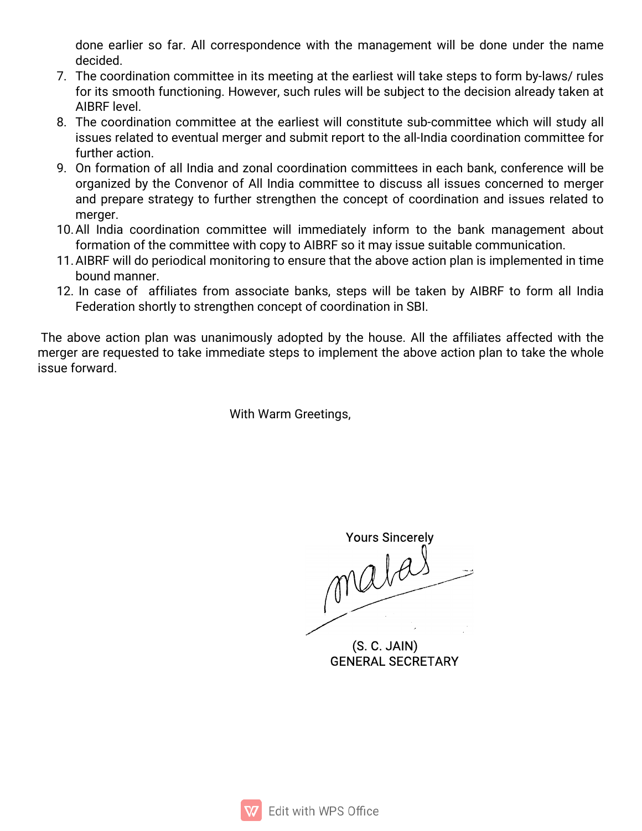done earlier so far. All correspondence with the management will be done under the name decided.

- 7. The coordination committee in its meeting at the earliest will take steps to form by-laws/ rules for its smooth functioning. However, such rules will be subject to the decision already taken at AIBRFlevel.
- 8. The coordination committee at the earliest will constitute sub-committee which will study all issues related to eventual merger and submit report to the all-India coordination committee for further action.
- 9. On formation of all India and zonal coordination committees in each bank, conference will be organized by the Convenor of All India committee to discuss all issues concerned to merger and prepare strategy to further strengthen the concept of coordination and issues related to merger.
- 10. All India coordination committee will immediately inform to the bank management about formation of the committee with copy to AIBRF so it may issue suitable communication.
- 11. AIBRF will do periodical monitoring to ensure that the above action plan is implemented in time bound manner.
- 12. In case of affiliates from associate banks, steps will be taken by AIBRF to form all India Federation shortly to strengthen concept of coordination in SBI.

The above action plan was unanimously adopted by the house. All the affiliates affected with the merger are requested to take immediate steps to implement the above action plan to take the whole issue forward.

With Warm Greetings,

YoursSincerely

(S.C.JAIN) **GENERAL SECRETARY**